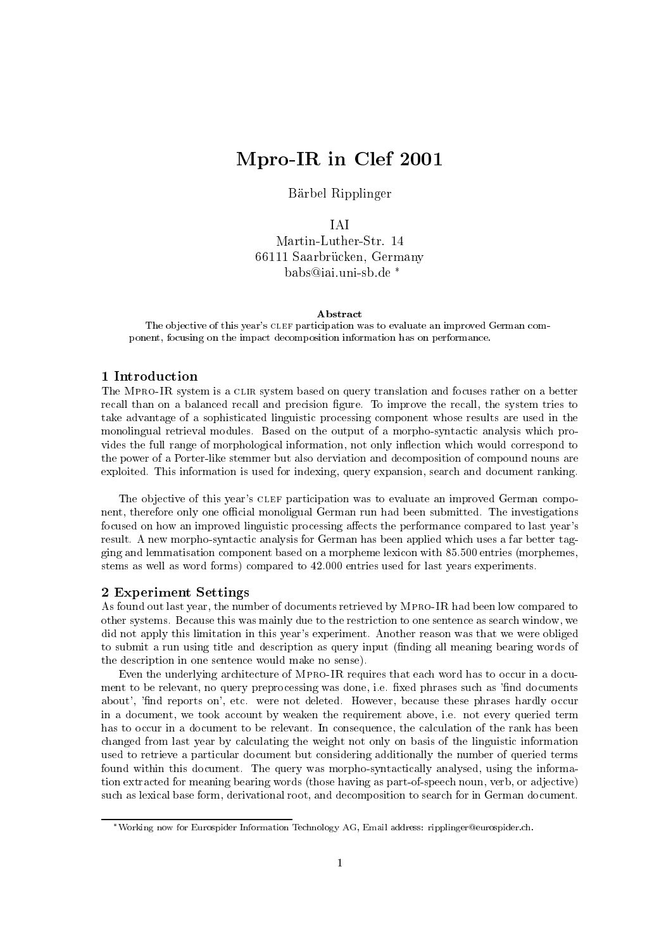# Mpro-IR in Clef <sup>2001</sup>

Barbel Ripplinger

**TAI** 

Martin-Luther-Str. 14 66111 Saarbrucken, Germany babs@iai.uni-sb.de

#### Abstract

The ob jective of this year's clef participation was to evaluate an improved German component, focusing on the impact decomposition information has on performance.

## 1 Introduction

The MPRO-IR system is a CLIR system based on query translation and focuses rather on a better recall than on a balanced recall and precision figure. To improve the recall, the system tries to take advantage of a sophisticated linguistic processing component whose results are used in the monolingual retrieval modules. Based on the output of a morpho-syntactic analysis which provides the full range of morphological information, not only inflection which would correspond to the power of a Porter-like stemmer but also derviation and decomposition of compound nouns are exploited. This information is used for indexing, query expansion, search and document ranking.

The objective of this year's CLEF participation was to evaluate an improved German component, therefore only one official monoligual German run had been submitted. The investigations focused on how an improved linguistic processing affects the performance compared to last year's result. A new morpho-syntactic analysis for German has been applied which uses a far better tagging and lemmatisation component based on a morpheme lexicon with 85.500 entries (morphemes, stems as well as word forms) compared to 42.000 entries used for last years experiments.

### 2 Experiment Settings

As found out last year, the number of documents retrieved by Mpro-IR had been low compared to other systems. Because this was mainly due to the restriction to one sentence as search window, we did not apply this limitation in this year's experiment. Another reason was that we were obliged to submit a run using title and description as query input (nding all meaning bearing words of the description in one sentence would make no sense).

Even the underlying architecture of MPRO-IR requires that each word has to occur in a document to be relevant, no query preprocessing was done, i.e. fixed phrases such as 'find documents about', 'find reports on', etc. were not deleted. However, because these phrases hardly occur in a document, we took account by weaken the requirement above, i.e. not every queried term has to occur in a document to be relevant. In consequence, the calculation of the rank has been changed from last year by calculating the weight not only on basis of the linguistic information used to retrieve a particular document but considering additionally the number of queried terms found within this document. The query was morpho-syntactically analysed, using the information extracted for meaning bearing words (those having as part-of-speech noun, verb, or adjective) such as lexical base form, derivational root, and decomposition to search for in German document.

Working now for Eurospider Information Technology AG, Email address: ripplinger@eurospider.ch.